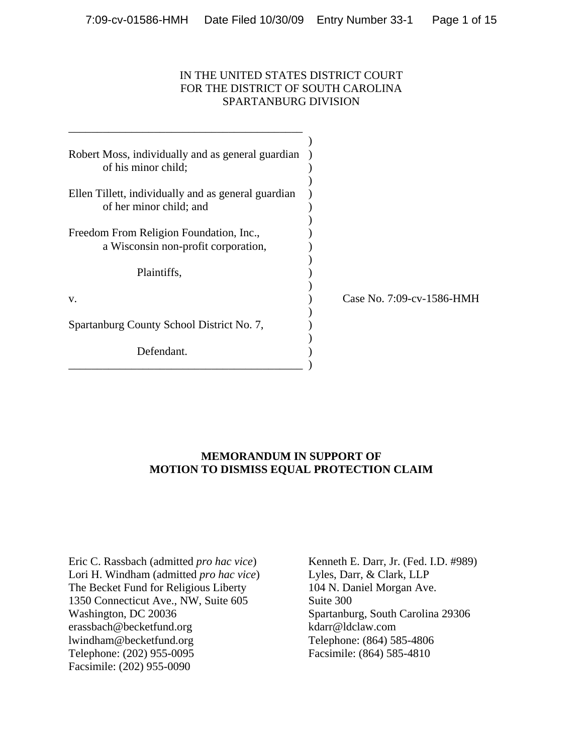## IN THE UNITED STATES DISTRICT COURT FOR THE DISTRICT OF SOUTH CAROLINA SPARTANBURG DIVISION

| Robert Moss, individually and as general guardian<br>of his minor child;       |                           |
|--------------------------------------------------------------------------------|---------------------------|
| Ellen Tillett, individually and as general guardian<br>of her minor child; and |                           |
| Freedom From Religion Foundation, Inc.,<br>a Wisconsin non-profit corporation, |                           |
| Plaintiffs,                                                                    |                           |
| V.                                                                             | Case No. 7:09-cv-1586-HMH |
| Spartanburg County School District No. 7,                                      |                           |
| Defendant.                                                                     |                           |

# **MEMORANDUM IN SUPPORT OF MOTION TO DISMISS EQUAL PROTECTION CLAIM**

Eric C. Rassbach (admitted *pro hac vice*) Lori H. Windham (admitted *pro hac vice*) The Becket Fund for Religious Liberty 1350 Connecticut Ave., NW, Suite 605 Washington, DC 20036 erassbach@becketfund.org lwindham@becketfund.org Telephone: (202) 955-0095 Facsimile: (202) 955-0090

Kenneth E. Darr, Jr. (Fed. I.D. #989) Lyles, Darr, & Clark, LLP 104 N. Daniel Morgan Ave. Suite 300 Spartanburg, South Carolina 29306 kdarr@ldclaw.com Telephone: (864) 585-4806 Facsimile: (864) 585-4810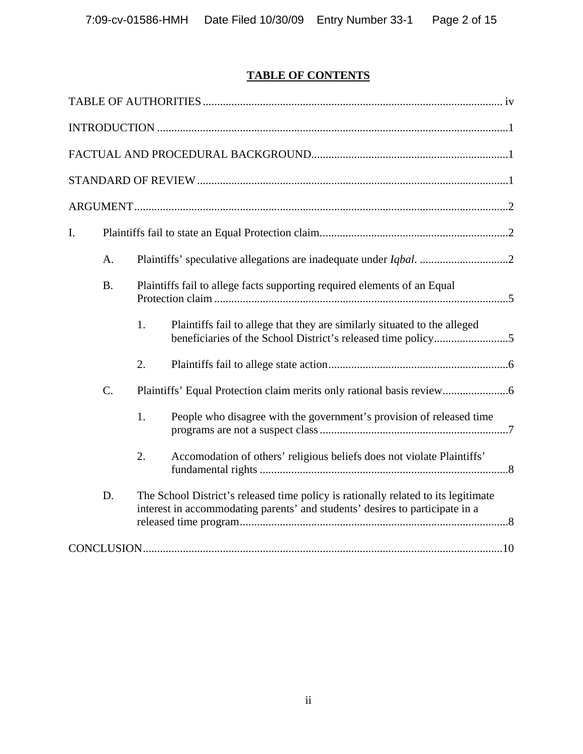# **TABLE OF CONTENTS**

| I. |                                                                                       |    |                                                                                                                                                                    |  |  |
|----|---------------------------------------------------------------------------------------|----|--------------------------------------------------------------------------------------------------------------------------------------------------------------------|--|--|
|    | A.                                                                                    |    |                                                                                                                                                                    |  |  |
|    | <b>B.</b><br>Plaintiffs fail to allege facts supporting required elements of an Equal |    |                                                                                                                                                                    |  |  |
|    |                                                                                       | 1. | Plaintiffs fail to allege that they are similarly situated to the alleged                                                                                          |  |  |
|    |                                                                                       | 2. |                                                                                                                                                                    |  |  |
|    | $C_{\cdot}$                                                                           |    |                                                                                                                                                                    |  |  |
|    |                                                                                       | 1. | People who disagree with the government's provision of released time                                                                                               |  |  |
|    |                                                                                       | 2. | Accomodation of others' religious beliefs does not violate Plaintiffs'                                                                                             |  |  |
|    | D.                                                                                    |    | The School District's released time policy is rationally related to its legitimate<br>interest in accommodating parents' and students' desires to participate in a |  |  |
|    |                                                                                       |    |                                                                                                                                                                    |  |  |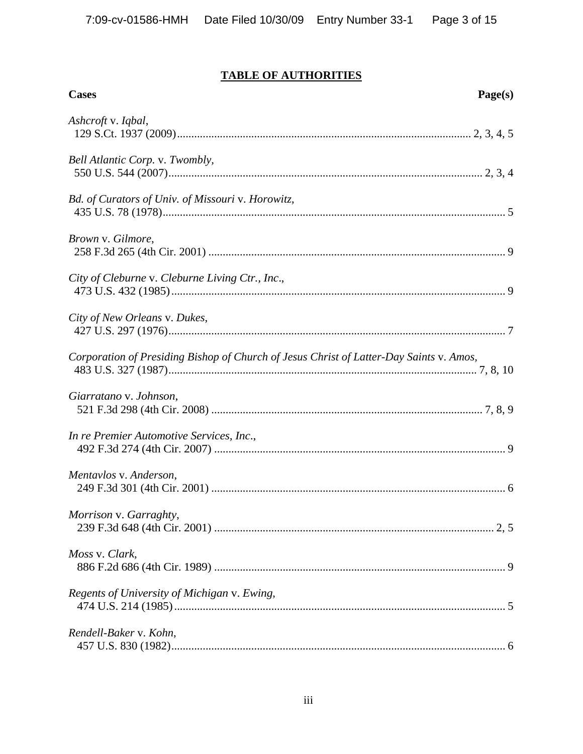# **TABLE OF AUTHORITIES**

| <b>Cases</b>                                                                            | Page(s) |
|-----------------------------------------------------------------------------------------|---------|
| Ashcroft v. Iqbal,                                                                      |         |
| Bell Atlantic Corp. v. Twombly,                                                         |         |
| Bd. of Curators of Univ. of Missouri v. Horowitz,                                       |         |
| Brown v. Gilmore,                                                                       |         |
| City of Cleburne v. Cleburne Living Ctr., Inc.,                                         |         |
| City of New Orleans v. Dukes,                                                           |         |
| Corporation of Presiding Bishop of Church of Jesus Christ of Latter-Day Saints v. Amos, |         |
| Giarratano v. Johnson,                                                                  |         |
| In re Premier Automotive Services, Inc.,                                                |         |
| Mentavlos v. Anderson,                                                                  |         |
| Morrison v. Garraghty,                                                                  |         |
| Moss v. Clark,                                                                          |         |
| Regents of University of Michigan v. Ewing,                                             |         |
| Rendell-Baker v. Kohn,                                                                  |         |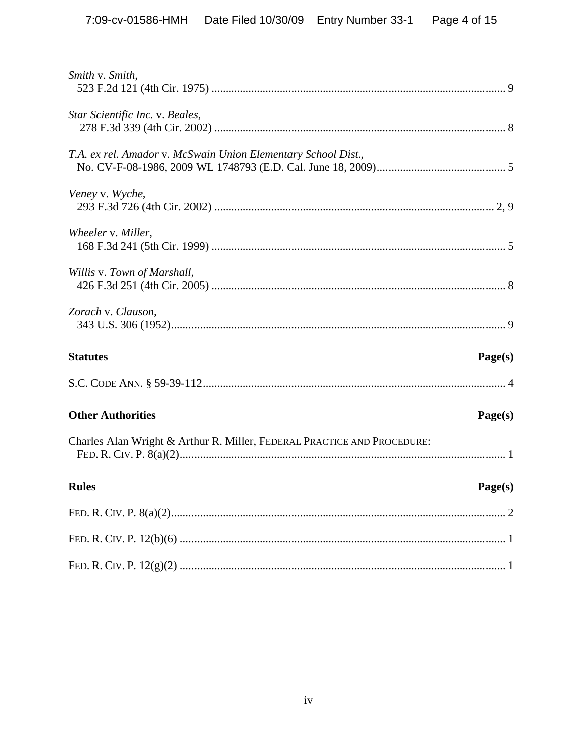| Smith v. Smith,                                                         |         |
|-------------------------------------------------------------------------|---------|
| Star Scientific Inc. v. Beales,                                         |         |
| T.A. ex rel. Amador v. McSwain Union Elementary School Dist.,           |         |
| Veney v. Wyche,                                                         |         |
| Wheeler v. Miller,                                                      |         |
| Willis v. Town of Marshall,                                             |         |
| Zorach v. Clauson,                                                      |         |
| <b>Statutes</b>                                                         | Page(s) |
|                                                                         |         |
| <b>Other Authorities</b>                                                | Page(s) |
| Charles Alan Wright & Arthur R. Miller, FEDERAL PRACTICE AND PROCEDURE: |         |
| <b>Rules</b>                                                            | Page(s) |
|                                                                         |         |
|                                                                         |         |
|                                                                         |         |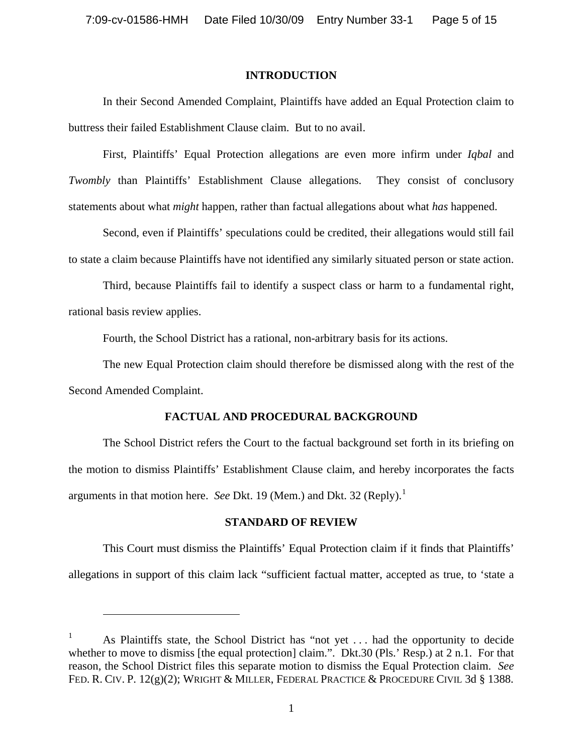#### **INTRODUCTION**

In their Second Amended Complaint, Plaintiffs have added an Equal Protection claim to buttress their failed Establishment Clause claim. But to no avail.

First, Plaintiffs' Equal Protection allegations are even more infirm under *Iqbal* and *Twombly* than Plaintiffs' Establishment Clause allegations. They consist of conclusory statements about what *might* happen, rather than factual allegations about what *has* happened.

Second, even if Plaintiffs' speculations could be credited, their allegations would still fail to state a claim because Plaintiffs have not identified any similarly situated person or state action.

Third, because Plaintiffs fail to identify a suspect class or harm to a fundamental right, rational basis review applies.

Fourth, the School District has a rational, non-arbitrary basis for its actions.

The new Equal Protection claim should therefore be dismissed along with the rest of the Second Amended Complaint.

### **FACTUAL AND PROCEDURAL BACKGROUND**

The School District refers the Court to the factual background set forth in its briefing on the motion to dismiss Plaintiffs' Establishment Clause claim, and hereby incorporates the facts arguments in that motion here. *See Dkt.* [1](#page-4-0)9 (Mem.) and Dkt. 32 (Reply).<sup>1</sup>

### **STANDARD OF REVIEW**

This Court must dismiss the Plaintiffs' Equal Protection claim if it finds that Plaintiffs' allegations in support of this claim lack "sufficient factual matter, accepted as true, to 'state a

<span id="page-4-0"></span><sup>1</sup> As Plaintiffs state, the School District has "not yet . . . had the opportunity to decide whether to move to dismiss [the equal protection] claim.". Dkt.30 (Pls.' Resp.) at 2 n.1. For that reason, the School District files this separate motion to dismiss the Equal Protection claim. *See* FED. R. CIV. P. 12(g)(2); WRIGHT & MILLER, FEDERAL PRACTICE & PROCEDURE CIVIL 3d § 1388.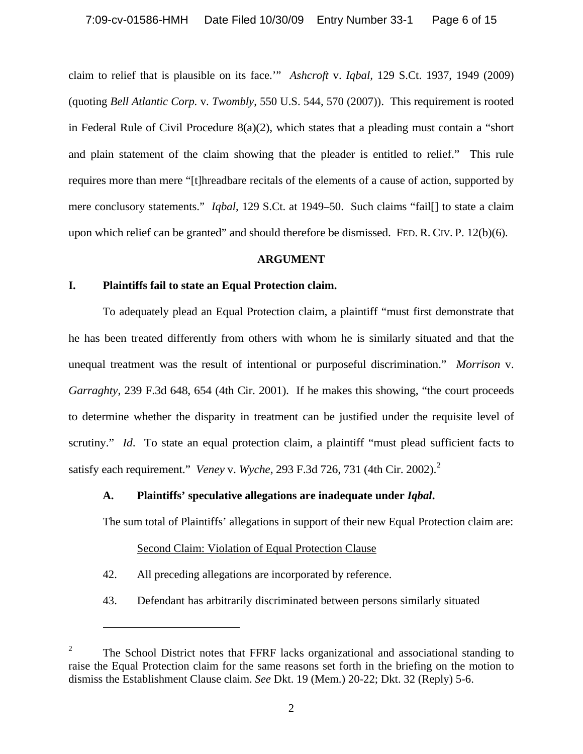claim to relief that is plausible on its face.'" *Ashcroft* v. *Iqbal,* 129 S.Ct. 1937, 1949 (2009) (quoting *Bell Atlantic Corp.* v. *Twombly*, 550 U.S. 544, 570 (2007)). This requirement is rooted in Federal Rule of Civil Procedure 8(a)(2), which states that a pleading must contain a "short and plain statement of the claim showing that the pleader is entitled to relief." This rule requires more than mere "[t]hreadbare recitals of the elements of a cause of action, supported by mere conclusory statements." *Iqbal*, 129 S.Ct. at 1949–50. Such claims "fail[] to state a claim upon which relief can be granted" and should therefore be dismissed. FED. R. CIV. P. 12(b)(6).

#### **ARGUMENT**

#### **I. Plaintiffs fail to state an Equal Protection claim.**

To adequately plead an Equal Protection claim, a plaintiff "must first demonstrate that he has been treated differently from others with whom he is similarly situated and that the unequal treatment was the result of intentional or purposeful discrimination." *Morrison* v. *Garraghty*, 239 F.3d 648, 654 (4th Cir. 2001). If he makes this showing, "the court proceeds to determine whether the disparity in treatment can be justified under the requisite level of scrutiny." *Id*. To state an equal protection claim, a plaintiff "must plead sufficient facts to satisfy each requirement." *Veney* v. *Wyche*, 293 F.3d 726, 731 (4th Cir. 2002).[2](#page-5-0)

### **A. Plaintiffs' speculative allegations are inadequate under** *Iqbal***.**

The sum total of Plaintiffs' allegations in support of their new Equal Protection claim are:

### Second Claim: Violation of Equal Protection Clause

42. All preceding allegations are incorporated by reference.

 $\overline{a}$ 

43. Defendant has arbitrarily discriminated between persons similarly situated

<span id="page-5-0"></span><sup>2</sup> The School District notes that FFRF lacks organizational and associational standing to raise the Equal Protection claim for the same reasons set forth in the briefing on the motion to dismiss the Establishment Clause claim. *See* Dkt. 19 (Mem.) 20-22; Dkt. 32 (Reply) 5-6.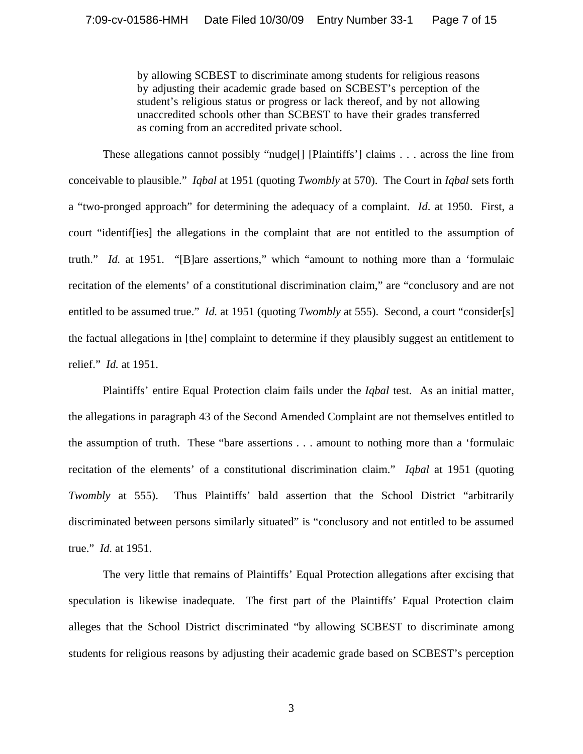by allowing SCBEST to discriminate among students for religious reasons by adjusting their academic grade based on SCBEST's perception of the student's religious status or progress or lack thereof, and by not allowing unaccredited schools other than SCBEST to have their grades transferred as coming from an accredited private school.

These allegations cannot possibly "nudge[] [Plaintiffs'] claims . . . across the line from conceivable to plausible." *Iqbal* at 1951 (quoting *Twombly* at 570). The Court in *Iqbal* sets forth a "two-pronged approach" for determining the adequacy of a complaint. *Id*. at 1950. First, a court "identif[ies] the allegations in the complaint that are not entitled to the assumption of truth." *Id.* at 1951. "[B]are assertions," which "amount to nothing more than a 'formulaic recitation of the elements' of a constitutional discrimination claim," are "conclusory and are not entitled to be assumed true." *Id.* at 1951 (quoting *Twombly* at 555). Second, a court "consider[s] the factual allegations in [the] complaint to determine if they plausibly suggest an entitlement to relief." *Id.* at 1951.

Plaintiffs' entire Equal Protection claim fails under the *Iqbal* test. As an initial matter, the allegations in paragraph 43 of the Second Amended Complaint are not themselves entitled to the assumption of truth. These "bare assertions . . . amount to nothing more than a 'formulaic recitation of the elements' of a constitutional discrimination claim." *Iqbal* at 1951 (quoting *Twombly* at 555). Thus Plaintiffs' bald assertion that the School District "arbitrarily discriminated between persons similarly situated" is "conclusory and not entitled to be assumed true." *Id.* at 1951.

The very little that remains of Plaintiffs' Equal Protection allegations after excising that speculation is likewise inadequate. The first part of the Plaintiffs' Equal Protection claim alleges that the School District discriminated "by allowing SCBEST to discriminate among students for religious reasons by adjusting their academic grade based on SCBEST's perception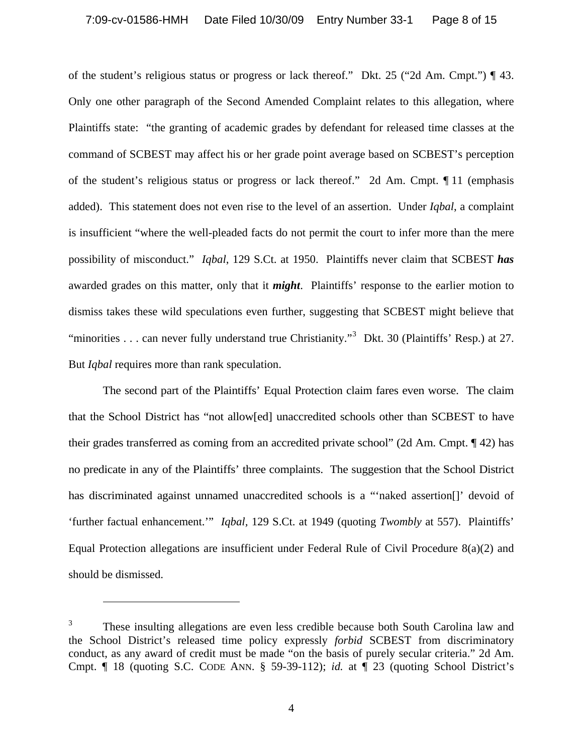of the student's religious status or progress or lack thereof." Dkt. 25 ("2d Am. Cmpt.") ¶ 43. Only one other paragraph of the Second Amended Complaint relates to this allegation, where Plaintiffs state: "the granting of academic grades by defendant for released time classes at the command of SCBEST may affect his or her grade point average based on SCBEST's perception of the student's religious status or progress or lack thereof." 2d Am. Cmpt. ¶ 11 (emphasis added). This statement does not even rise to the level of an assertion. Under *Iqbal*, a complaint is insufficient "where the well-pleaded facts do not permit the court to infer more than the mere possibility of misconduct." *Iqbal*, 129 S.Ct. at 1950. Plaintiffs never claim that SCBEST *has* awarded grades on this matter, only that it *might*.Plaintiffs' response to the earlier motion to dismiss takes these wild speculations even further, suggesting that SCBEST might believe that "minorities . . . can never fully understand true Christianity."<sup>[3](#page-7-0)</sup> Dkt. 30 (Plaintiffs' Resp.) at 27. But *Iqbal* requires more than rank speculation.

The second part of the Plaintiffs' Equal Protection claim fares even worse. The claim that the School District has "not allow[ed] unaccredited schools other than SCBEST to have their grades transferred as coming from an accredited private school" (2d Am. Cmpt. ¶ 42) has no predicate in any of the Plaintiffs' three complaints. The suggestion that the School District has discriminated against unnamed unaccredited schools is a "'naked assertion[]' devoid of 'further factual enhancement.'" *Iqbal,* 129 S.Ct. at 1949 (quoting *Twombly* at 557). Plaintiffs' Equal Protection allegations are insufficient under Federal Rule of Civil Procedure 8(a)(2) and should be dismissed.

<span id="page-7-0"></span><sup>3</sup> These insulting allegations are even less credible because both South Carolina law and the School District's released time policy expressly *forbid* SCBEST from discriminatory conduct, as any award of credit must be made "on the basis of purely secular criteria." 2d Am. Cmpt. ¶ 18 (quoting S.C. CODE ANN. § 59-39-112); *id.* at ¶ 23 (quoting School District's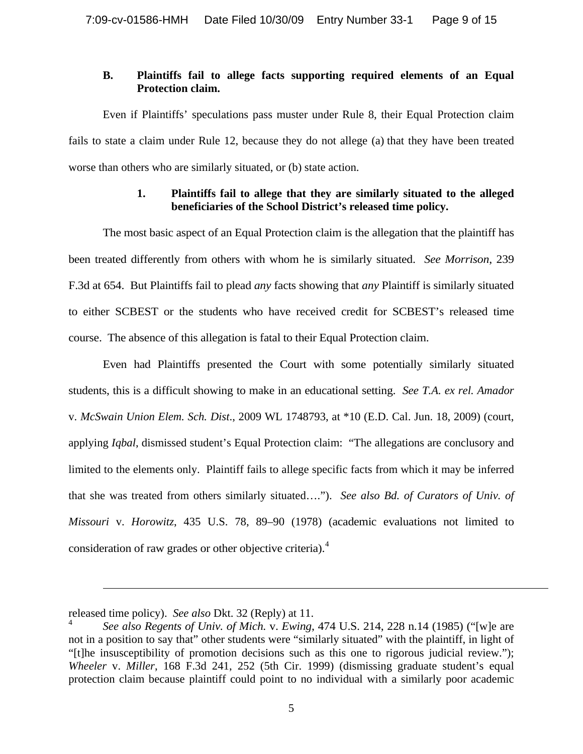## **B. Plaintiffs fail to allege facts supporting required elements of an Equal Protection claim.**

Even if Plaintiffs' speculations pass muster under Rule 8, their Equal Protection claim fails to state a claim under Rule 12, because they do not allege (a) that they have been treated worse than others who are similarly situated, or (b) state action.

# **1. Plaintiffs fail to allege that they are similarly situated to the alleged beneficiaries of the School District's released time policy.**

The most basic aspect of an Equal Protection claim is the allegation that the plaintiff has been treated differently from others with whom he is similarly situated. *See Morrison*, 239 F.3d at 654. But Plaintiffs fail to plead *any* facts showing that *any* Plaintiff is similarly situated to either SCBEST or the students who have received credit for SCBEST's released time course. The absence of this allegation is fatal to their Equal Protection claim.

Even had Plaintiffs presented the Court with some potentially similarly situated students, this is a difficult showing to make in an educational setting. *See T.A. ex rel. Amador* v. *McSwain Union Elem. Sch. Dist*., 2009 WL 1748793, at \*10 (E.D. Cal. Jun. 18, 2009) (court, applying *Iqbal*, dismissed student's Equal Protection claim: "The allegations are conclusory and limited to the elements only. Plaintiff fails to allege specific facts from which it may be inferred that she was treated from others similarly situated…."). *See also Bd. of Curators of Univ. of Missouri* v. *Horowitz*, 435 U.S. 78, 89–90 (1978) (academic evaluations not limited to consideration of raw grades or other objective criteria).<sup>[4](#page-8-0)</sup>

released time policy). *See also* Dkt. 32 (Reply) at 11.

<span id="page-8-0"></span><sup>4</sup> *See also Regents of Univ. of Mich.* v. *Ewing*, 474 U.S. 214, 228 n.14 (1985) ("[w]e are not in a position to say that" other students were "similarly situated" with the plaintiff, in light of "[t]he insusceptibility of promotion decisions such as this one to rigorous judicial review."); *Wheeler* v. *Miller*, 168 F.3d 241, 252 (5th Cir. 1999) (dismissing graduate student's equal protection claim because plaintiff could point to no individual with a similarly poor academic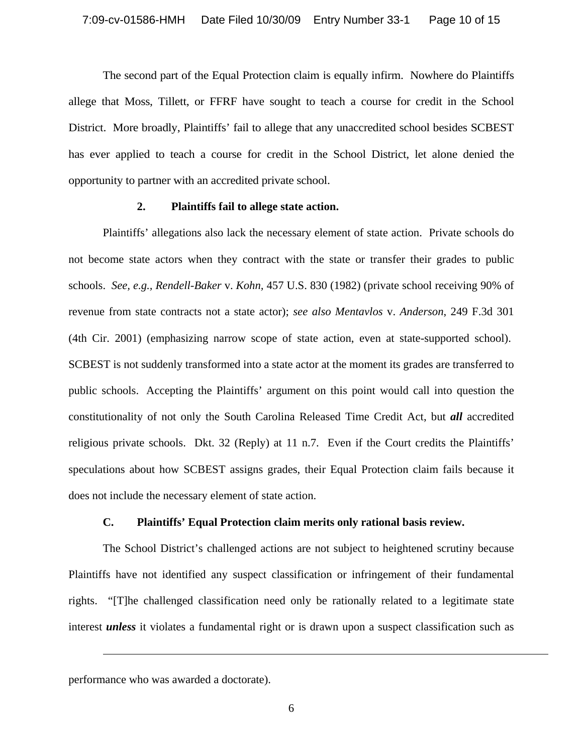The second part of the Equal Protection claim is equally infirm. Nowhere do Plaintiffs allege that Moss, Tillett, or FFRF have sought to teach a course for credit in the School District. More broadly, Plaintiffs' fail to allege that any unaccredited school besides SCBEST has ever applied to teach a course for credit in the School District, let alone denied the opportunity to partner with an accredited private school.

#### **2. Plaintiffs fail to allege state action.**

Plaintiffs' allegations also lack the necessary element of state action. Private schools do not become state actors when they contract with the state or transfer their grades to public schools. *See, e.g., Rendell-Baker* v. *Kohn,* 457 U.S. 830 (1982) (private school receiving 90% of revenue from state contracts not a state actor); *see also Mentavlos* v. *Anderson*, 249 F.3d 301 (4th Cir. 2001) (emphasizing narrow scope of state action, even at state-supported school). SCBEST is not suddenly transformed into a state actor at the moment its grades are transferred to public schools. Accepting the Plaintiffs' argument on this point would call into question the constitutionality of not only the South Carolina Released Time Credit Act, but *all* accredited religious private schools. Dkt. 32 (Reply) at 11 n.7. Even if the Court credits the Plaintiffs' speculations about how SCBEST assigns grades, their Equal Protection claim fails because it does not include the necessary element of state action.

#### **C. Plaintiffs' Equal Protection claim merits only rational basis review.**

The School District's challenged actions are not subject to heightened scrutiny because Plaintiffs have not identified any suspect classification or infringement of their fundamental rights. "[T]he challenged classification need only be rationally related to a legitimate state interest *unless* it violates a fundamental right or is drawn upon a suspect classification such as

performance who was awarded a doctorate).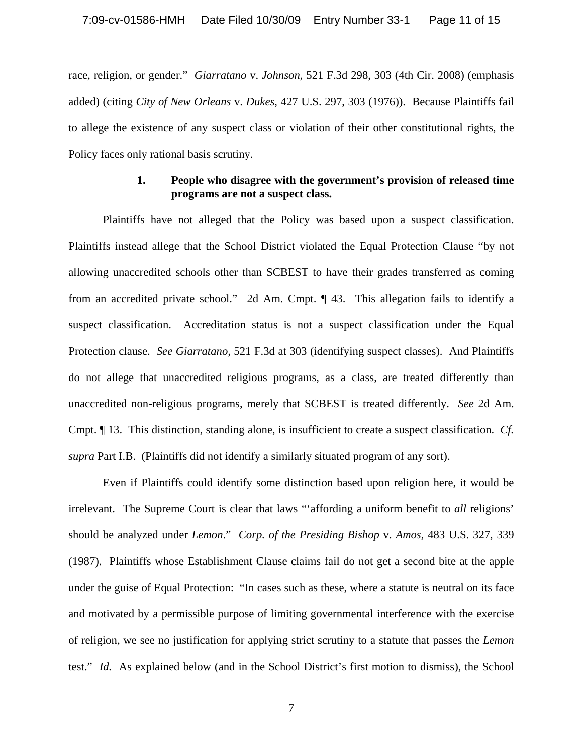race, religion, or gender." *Giarratano* v. *Johnson*, 521 F.3d 298, 303 (4th Cir. 2008) (emphasis added) (citing *City of New Orleans* v. *Dukes*, 427 U.S. 297, 303 (1976)). Because Plaintiffs fail to allege the existence of any suspect class or violation of their other constitutional rights, the Policy faces only rational basis scrutiny.

#### **1. People who disagree with the government's provision of released time programs are not a suspect class.**

Plaintiffs have not alleged that the Policy was based upon a suspect classification. Plaintiffs instead allege that the School District violated the Equal Protection Clause "by not allowing unaccredited schools other than SCBEST to have their grades transferred as coming from an accredited private school." 2d Am. Cmpt. ¶ 43. This allegation fails to identify a suspect classification. Accreditation status is not a suspect classification under the Equal Protection clause. *See Giarratano,* 521 F.3d at 303 (identifying suspect classes). And Plaintiffs do not allege that unaccredited religious programs, as a class, are treated differently than unaccredited non-religious programs, merely that SCBEST is treated differently. *See* 2d Am. Cmpt. ¶ 13. This distinction, standing alone, is insufficient to create a suspect classification. *Cf. supra* Part I.B. (Plaintiffs did not identify a similarly situated program of any sort).

Even if Plaintiffs could identify some distinction based upon religion here, it would be irrelevant. The Supreme Court is clear that laws "'affording a uniform benefit to *all* religions' should be analyzed under *Lemon*." *Corp. of the Presiding Bishop* v. *Amos,* 483 U.S. 327, 339 (1987). Plaintiffs whose Establishment Clause claims fail do not get a second bite at the apple under the guise of Equal Protection: "In cases such as these, where a statute is neutral on its face and motivated by a permissible purpose of limiting governmental interference with the exercise of religion, we see no justification for applying strict scrutiny to a statute that passes the *Lemon* test." *Id.* As explained below (and in the School District's first motion to dismiss), the School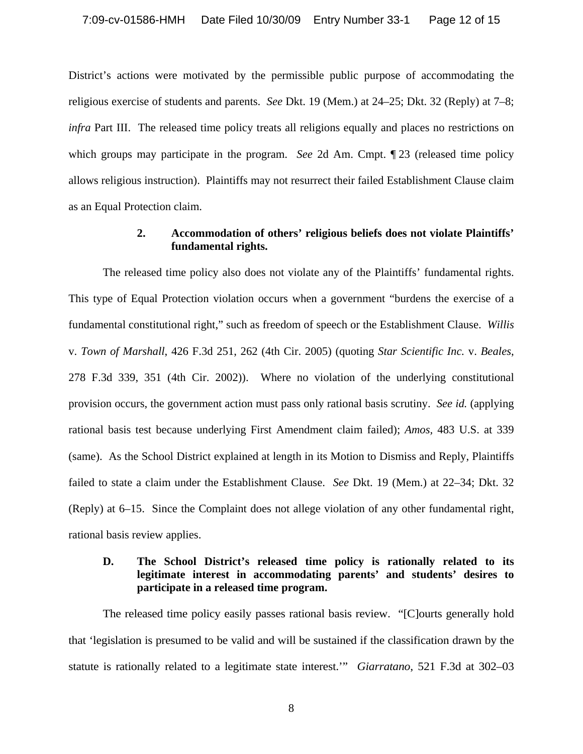District's actions were motivated by the permissible public purpose of accommodating the religious exercise of students and parents. *See* Dkt. 19 (Mem.) at 24–25; Dkt. 32 (Reply) at 7–8; *infra* Part III. The released time policy treats all religions equally and places no restrictions on which groups may participate in the program. *See* 2d Am. Cmpt. ¶ 23 (released time policy allows religious instruction). Plaintiffs may not resurrect their failed Establishment Clause claim as an Equal Protection claim.

#### **2. Accommodation of others' religious beliefs does not violate Plaintiffs' fundamental rights.**

The released time policy also does not violate any of the Plaintiffs' fundamental rights. This type of Equal Protection violation occurs when a government "burdens the exercise of a fundamental constitutional right," such as freedom of speech or the Establishment Clause. *Willis* v. *Town of Marshall*, 426 F.3d 251, 262 (4th Cir. 2005) (quoting *Star Scientific Inc.* v. *Beales*, 278 F.3d 339, 351 (4th Cir. 2002)). Where no violation of the underlying constitutional provision occurs, the government action must pass only rational basis scrutiny. *See id.* (applying rational basis test because underlying First Amendment claim failed); *Amos,* 483 U.S. at 339 (same). As the School District explained at length in its Motion to Dismiss and Reply, Plaintiffs failed to state a claim under the Establishment Clause. *See* Dkt. 19 (Mem.) at 22–34; Dkt. 32 (Reply) at 6–15. Since the Complaint does not allege violation of any other fundamental right, rational basis review applies.

## **D. The School District's released time policy is rationally related to its legitimate interest in accommodating parents' and students' desires to participate in a released time program.**

The released time policy easily passes rational basis review. "[C]ourts generally hold that 'legislation is presumed to be valid and will be sustained if the classification drawn by the statute is rationally related to a legitimate state interest.'" *Giarratano*, 521 F.3d at 302–03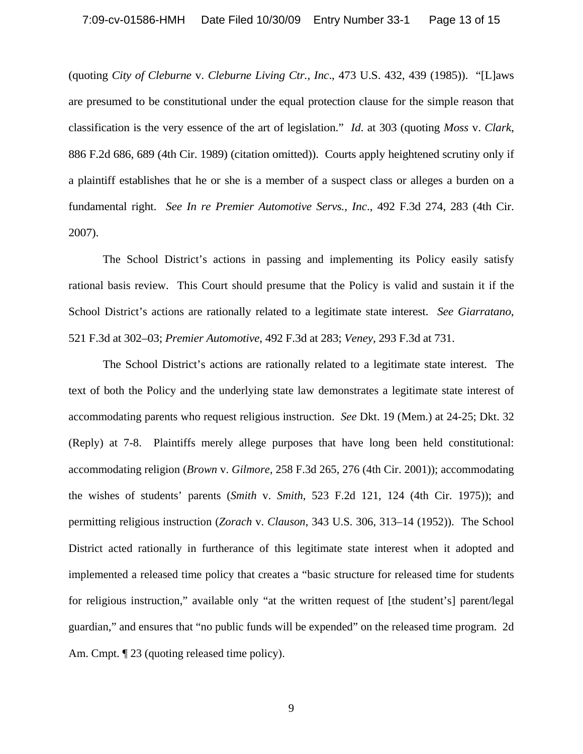(quoting *City of Cleburne* v. *Cleburne Living Ctr., Inc*., 473 U.S. 432, 439 (1985)). "[L]aws are presumed to be constitutional under the equal protection clause for the simple reason that classification is the very essence of the art of legislation." *Id*. at 303 (quoting *Moss* v. *Clark*, 886 F.2d 686, 689 (4th Cir. 1989) (citation omitted)). Courts apply heightened scrutiny only if a plaintiff establishes that he or she is a member of a suspect class or alleges a burden on a fundamental right. *See In re Premier Automotive Servs., Inc*., 492 F.3d 274, 283 (4th Cir. 2007).

The School District's actions in passing and implementing its Policy easily satisfy rational basis review. This Court should presume that the Policy is valid and sustain it if the School District's actions are rationally related to a legitimate state interest. *See Giarratano*, 521 F.3d at 302–03; *Premier Automotive*, 492 F.3d at 283; *Veney*, 293 F.3d at 731.

The School District's actions are rationally related to a legitimate state interest. The text of both the Policy and the underlying state law demonstrates a legitimate state interest of accommodating parents who request religious instruction. *See* Dkt. 19 (Mem.) at 24-25; Dkt. 32 (Reply) at 7-8. Plaintiffs merely allege purposes that have long been held constitutional: accommodating religion (*Brown* v. *Gilmore*, 258 F.3d 265, 276 (4th Cir. 2001)); accommodating the wishes of students' parents (*Smith* v. *Smith*, 523 F.2d 121, 124 (4th Cir. 1975)); and permitting religious instruction (*Zorach* v. *Clauson*, 343 U.S. 306, 313–14 (1952)). The School District acted rationally in furtherance of this legitimate state interest when it adopted and implemented a released time policy that creates a "basic structure for released time for students for religious instruction," available only "at the written request of [the student's] parent/legal guardian," and ensures that "no public funds will be expended" on the released time program. 2d Am. Cmpt.  $\llbracket 23 \text{ (quoting released time policy)}$ .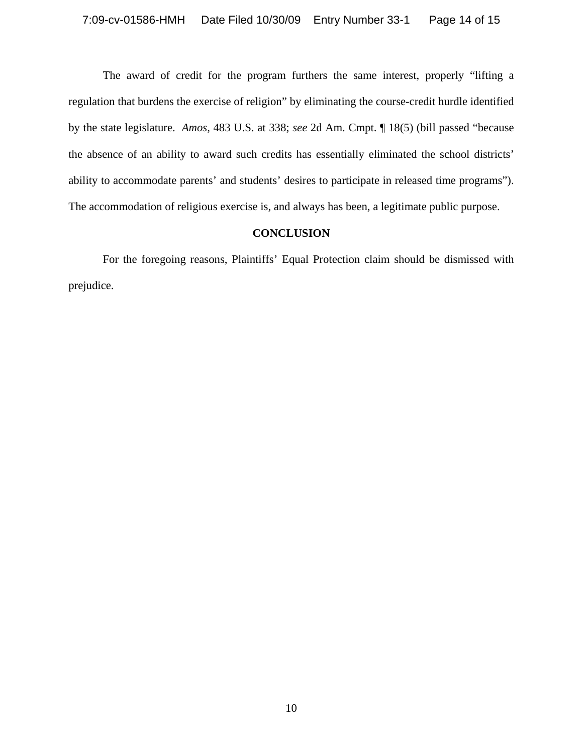The award of credit for the program furthers the same interest, properly "lifting a regulation that burdens the exercise of religion" by eliminating the course-credit hurdle identified by the state legislature. *Amos,* 483 U.S. at 338; *see* 2d Am. Cmpt. ¶ 18(5) (bill passed "because the absence of an ability to award such credits has essentially eliminated the school districts' ability to accommodate parents' and students' desires to participate in released time programs"). The accommodation of religious exercise is, and always has been, a legitimate public purpose.

#### **CONCLUSION**

For the foregoing reasons, Plaintiffs' Equal Protection claim should be dismissed with prejudice.